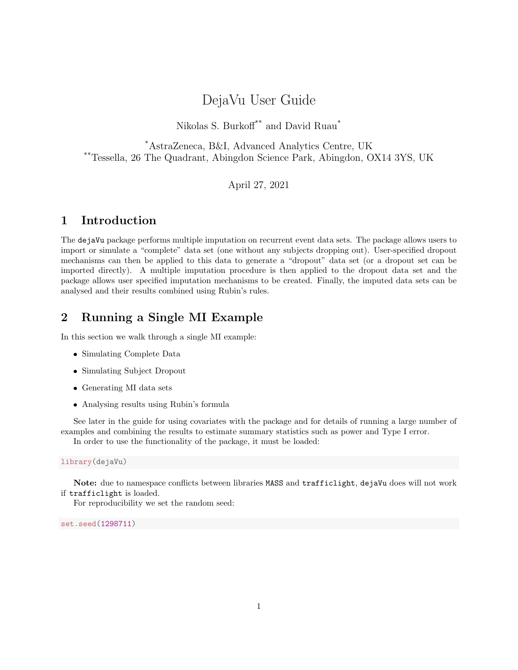# DejaVu User Guide

Nikolas S. Burkoff $^{\ast\ast}$  and David Ruau $^{\ast}$ 

\*AstraZeneca, B&I, Advanced Analytics Centre, UK \*\*Tessella, 26 The Quadrant, Abingdon Science Park, Abingdon, OX14 3YS, UK

April 27, 2021

### 1 Introduction

The dejaVu package performs multiple imputation on recurrent event data sets. The package allows users to import or simulate a "complete" data set (one without any subjects dropping out). User-specified dropout mechanisms can then be applied to this data to generate a "dropout" data set (or a dropout set can be imported directly). A multiple imputation procedure is then applied to the dropout data set and the package allows user specified imputation mechanisms to be created. Finally, the imputed data sets can be analysed and their results combined using Rubin's rules.

## 2 Running a Single MI Example

In this section we walk through a single MI example:

- Simulating Complete Data
- Simulating Subject Dropout
- Generating MI data sets
- Analysing results using Rubin's formula

See later in the guide for using covariates with the package and for details of running a large number of examples and combining the results to estimate summary statistics such as power and Type I error. In order to use the functionality of the package, it must be loaded:

library(dejaVu)

Note: due to namespace conflicts between libraries MASS and trafficlight, dejaVu does will not work if trafficlight is loaded.

For reproducibility we set the random seed:

set.seed(1298711)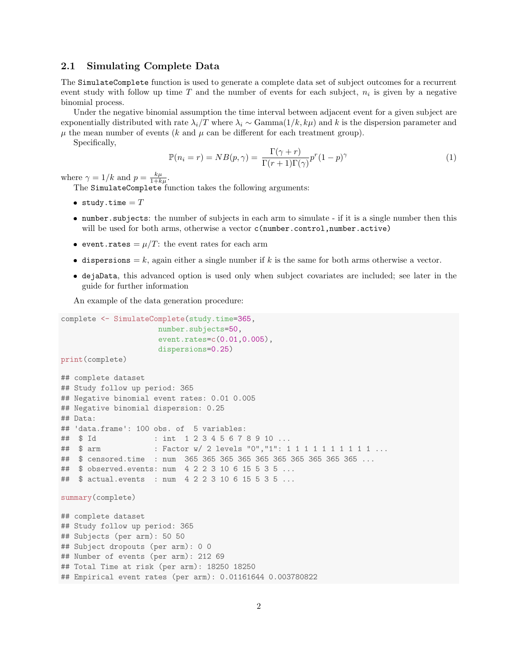#### 2.1 Simulating Complete Data

The SimulateComplete function is used to generate a complete data set of subject outcomes for a recurrent event study with follow up time  $T$  and the number of events for each subject,  $n_i$  is given by a negative binomial process.

Under the negative binomial assumption the time interval between adjacent event for a given subject are exponentially distributed with rate  $\lambda_i/T$  where  $\lambda_i \sim \text{Gamma}(1/k, k\mu)$  and k is the dispersion parameter and  $\mu$  the mean number of events (k and  $\mu$  can be different for each treatment group).

Specifically,

$$
\mathbb{P}(n_i = r) = NB(p, \gamma) = \frac{\Gamma(\gamma + r)}{\Gamma(r + 1)\Gamma(\gamma)} p^r (1 - p)^\gamma
$$
\n(1)

where  $\gamma = 1/k$  and  $p = \frac{k\mu}{1+k\mu}$ .

The SimulateComplete function takes the following arguments:

- study.time  $=T$
- number.subjects: the number of subjects in each arm to simulate if it is a single number then this will be used for both arms, otherwise a vector c(number.control,number.active)
- event.rates =  $\mu/T$ : the event rates for each arm
- dispersions = k, again either a single number if k is the same for both arms otherwise a vector.
- dejaData, this advanced option is used only when subject covariates are included; see later in the guide for further information

An example of the data generation procedure:

```
complete <- SimulateComplete(study.time=365,
                      number.subjects=50,
                      event.rates=c(0.01,0.005),
                      dispersions=0.25)
print(complete)
```

```
## complete dataset
## Study follow up period: 365
## Negative binomial event rates: 0.01 0.005
## Negative binomial dispersion: 0.25
## Data:
## 'data.frame': 100 obs. of 5 variables:
## $ Id : int 1 2 3 4 5 6 7 8 9 10 ...
## $ arm : Factor w/ 2 levels "0","1": 1 1 1 1 1 1 1 1 1 1 ...
## $ censored.time : num 365 365 365 365 365 365 365 365 365 365 ...
## $ observed.events: num 4 2 2 3 10 6 15 5 3 5 ...
## $ actual.events : num 4 2 2 3 10 6 15 5 3 5 ...
summary(complete)
## complete dataset
## Study follow up period: 365
## Subjects (per arm): 50 50
## Subject dropouts (per arm): 0 0
## Number of events (per arm): 212 69
## Total Time at risk (per arm): 18250 18250
## Empirical event rates (per arm): 0.01161644 0.003780822
```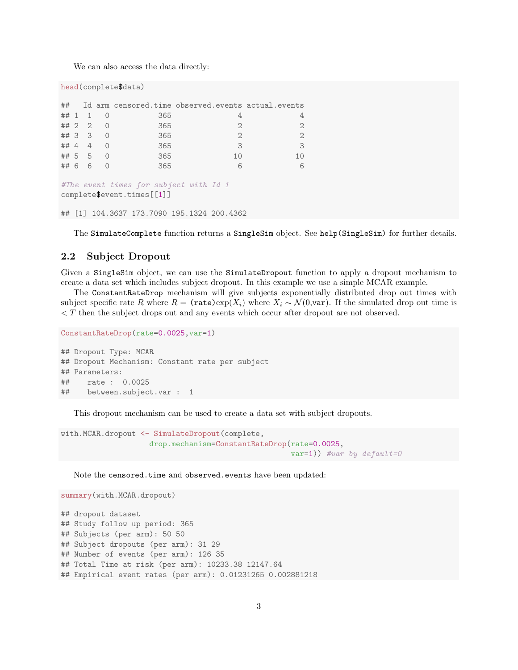We can also access the data directly:

```
head(complete$data)
```

|                                        |  |                       |     | ## Id arm censored.time observed.events actual.events |              |  |  |
|----------------------------------------|--|-----------------------|-----|-------------------------------------------------------|--------------|--|--|
|                                        |  | $\#$ $\#$ $\ 1$ $\ 0$ | 365 | 4                                                     |              |  |  |
|                                        |  | # 2 2 0               | 365 | $\mathcal{D}_{1}$                                     |              |  |  |
|                                        |  | ## 3 3 0              | 365 | $\mathcal{D}$                                         |              |  |  |
|                                        |  | ## 4 4 0              | 365 | 3                                                     | $\mathbf{3}$ |  |  |
|                                        |  | ## 5 5 0              | 365 | 10                                                    |              |  |  |
|                                        |  | ## 6 6 0              | 365 | 6                                                     | 6            |  |  |
|                                        |  |                       |     |                                                       |              |  |  |
| #The event times for subject with Id 1 |  |                       |     |                                                       |              |  |  |

complete\$event.times[[1]]

## [1] 104.3637 173.7090 195.1324 200.4362

The SimulateComplete function returns a SingleSim object. See help(SingleSim) for further details.

#### 2.2 Subject Dropout

Given a SingleSim object, we can use the SimulateDropout function to apply a dropout mechanism to create a data set which includes subject dropout. In this example we use a simple MCAR example.

The ConstantRateDrop mechanism will give subjects exponentially distributed drop out times with subject specific rate R where  $R = (\text{rate}) \exp(X_i)$  where  $X_i \sim \mathcal{N}(0, \text{var})$ . If the simulated drop out time is < T then the subject drops out and any events which occur after dropout are not observed.

```
ConstantRateDrop(rate=0.0025,var=1)
## Dropout Type: MCAR
## Dropout Mechanism: Constant rate per subject
## Parameters:
## rate : 0.0025
## between.subject.var : 1
```
This dropout mechanism can be used to create a data set with subject dropouts.

```
with.MCAR.dropout <- SimulateDropout(complete,
                    drop.mechanism=ConstantRateDrop(rate=0.0025,
                                                    var=1)) #var by default=0
```
Note the censored.time and observed.events have been updated:

```
summary(with.MCAR.dropout)
## dropout dataset
## Study follow up period: 365
## Subjects (per arm): 50 50
## Subject dropouts (per arm): 31 29
## Number of events (per arm): 126 35
## Total Time at risk (per arm): 10233.38 12147.64
## Empirical event rates (per arm): 0.01231265 0.002881218
```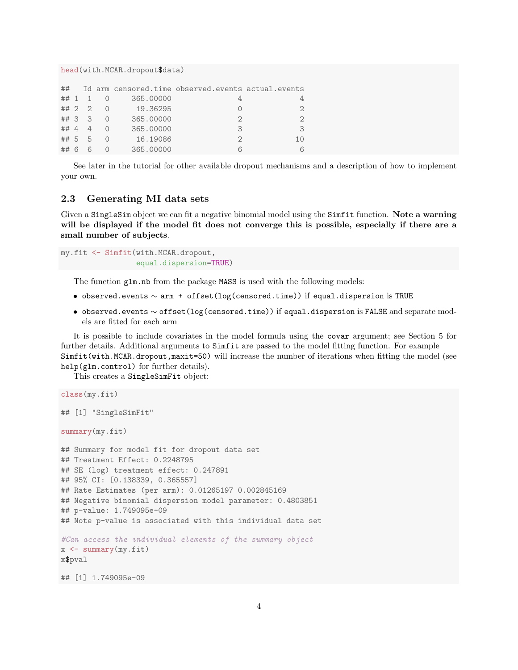head(with.MCAR.dropout\$data)

| ##     |        |           | Id arm censored.time observed.events actual.events |               |
|--------|--------|-----------|----------------------------------------------------|---------------|
| ## 1   |        | 365.00000 |                                                    |               |
|        | ## 2 2 | 19.36295  |                                                    | $\mathcal{D}$ |
| ## 3 3 |        | 365,00000 | $\mathcal{D}_{\mathcal{A}}$                        | $\mathcal{D}$ |
| ## 4   |        | 365,00000 | 3                                                  | 3             |
| ## 5   | 5      | 16.19086  | $\mathcal{D}$                                      | 10            |
| ## 6   |        | 365,00000 |                                                    |               |

See later in the tutorial for other available dropout mechanisms and a description of how to implement your own.

#### 2.3 Generating MI data sets

Given a SingleSim object we can fit a negative binomial model using the Simfit function. Note a warning will be displayed if the model fit does not converge this is possible, especially if there are a small number of subjects.

my.fit <- Simfit(with.MCAR.dropout, equal.dispersion=TRUE)

The function glm.nb from the package MASS is used with the following models:

- $\bullet$  observed.events  $\sim$  arm + offset(log(censored.time)) if equal.dispersion is TRUE
- $\bullet$  observed.events  $\sim$  offset(log(censored.time)) if equal.dispersion is FALSE and separate models are fitted for each arm

It is possible to include covariates in the model formula using the covar argument; see Section 5 for further details. Additional arguments to Simfit are passed to the model fitting function. For example Simfit(with.MCAR.dropout,maxit=50) will increase the number of iterations when fitting the model (see help(glm.control) for further details).

This creates a SingleSimFit object:

```
class(my.fit)
## [1] "SingleSimFit"
summary(my.fit)
## Summary for model fit for dropout data set
## Treatment Effect: 0.2248795
## SE (log) treatment effect: 0.247891
## 95% CI: [0.138339, 0.365557]
## Rate Estimates (per arm): 0.01265197 0.002845169
## Negative binomial dispersion model parameter: 0.4803851
## p-value: 1.749095e-09
## Note p-value is associated with this individual data set
#Can access the individual elements of the summary object
x \leftarrow summary (my.fit)
x$pval
```
## [1] 1.749095e-09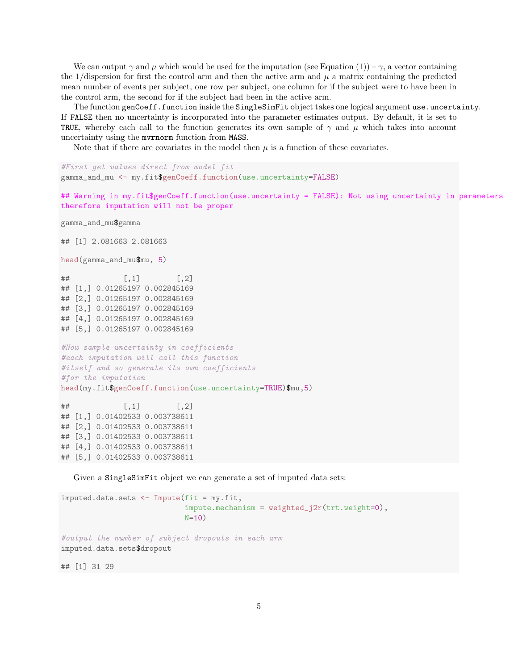We can output  $\gamma$  and  $\mu$  which would be used for the imputation (see Equation (1)) –  $\gamma$ , a vector containing the 1/dispersion for first the control arm and then the active arm and  $\mu$  a matrix containing the predicted mean number of events per subject, one row per subject, one column for if the subject were to have been in the control arm, the second for if the subject had been in the active arm.

The function genCoeff.function inside the SingleSimFit object takes one logical argument use.uncertainty. If FALSE then no uncertainty is incorporated into the parameter estimates output. By default, it is set to TRUE, whereby each call to the function generates its own sample of  $\gamma$  and  $\mu$  which takes into account uncertainty using the mvrnorm function from MASS.

Note that if there are covariates in the model then  $\mu$  is a function of these covariates.

```
#First get values direct from model fit
gamma_and_mu <- my.fit$genCoeff.function(use.uncertainty=FALSE)
```

```
## Warning in my.fit$genCoeff.function(use.uncertainty = FALSE): Not using uncertainty in parameters
therefore imputation will not be proper
```

```
gamma_and_mu$gamma
```
## [1] 2.081663 2.081663

```
head(gamma_and_mu$mu, 5)
```
 $\sharp$  #  $[$ , 1  $[$ , 1  $[$ , 2  $]$ ## [1,] 0.01265197 0.002845169 ## [2,] 0.01265197 0.002845169 ## [3,] 0.01265197 0.002845169 ## [4,] 0.01265197 0.002845169 ## [5,] 0.01265197 0.002845169

```
#Now sample uncertainty in coefficients
#each imputation will call this function
#itself and so generate its own coefficients
#for the imputation
head(my.fit$genCoeff.function(use.uncertainty=TRUE)$mu,5)
```
 $\#$   $\uparrow$   $\uparrow$   $\uparrow$   $\uparrow$   $\uparrow$   $\uparrow$   $\uparrow$   $\uparrow$   $\uparrow$   $\uparrow$   $\uparrow$   $\uparrow$   $\uparrow$   $\uparrow$   $\uparrow$   $\uparrow$   $\uparrow$   $\uparrow$   $\uparrow$   $\uparrow$   $\uparrow$   $\uparrow$   $\uparrow$   $\uparrow$   $\uparrow$   $\uparrow$   $\uparrow$   $\uparrow$   $\uparrow$   $\uparrow$   $\uparrow$   $\uparrow$   $\uparrow$   $\uparrow$   $\uparrow$   $\uparrow$  ## [1,] 0.01402533 0.003738611 ## [2,] 0.01402533 0.003738611 ## [3,] 0.01402533 0.003738611 ## [4,] 0.01402533 0.003738611 ## [5,] 0.01402533 0.003738611

Given a SingleSimFit object we can generate a set of imputed data sets:

```
imputed.data.sets <- Impute(fit = my.fit,
                            impute.mechanism = weighted_j2r(trt.weight=0),N=10)
#output the number of subject dropouts in each arm
imputed.data.sets$dropout
## [1] 31 29
```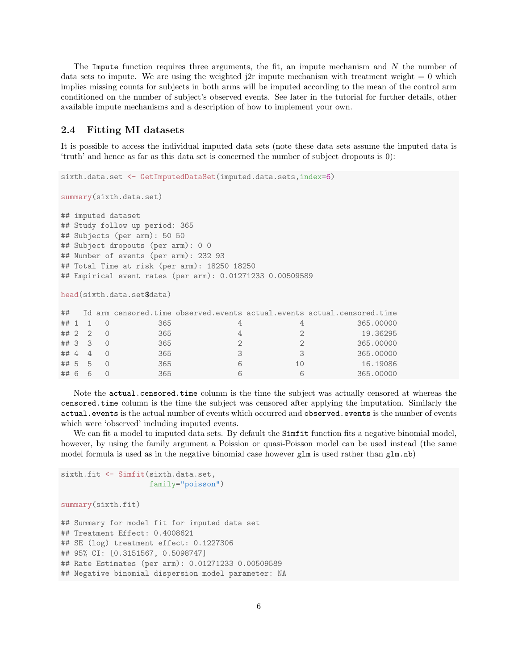The Impute function requires three arguments, the fit, an impute mechanism and  $N$  the number of data sets to impute. We are using the weighted  $j2r$  impute mechanism with treatment weight  $= 0$  which implies missing counts for subjects in both arms will be imputed according to the mean of the control arm conditioned on the number of subject's observed events. See later in the tutorial for further details, other available impute mechanisms and a description of how to implement your own.

#### 2.4 Fitting MI datasets

It is possible to access the individual imputed data sets (note these data sets assume the imputed data is 'truth' and hence as far as this data set is concerned the number of subject dropouts is 0):

sixth.data.set <- GetImputedDataSet(imputed.data.sets,index=6)

```
summary(sixth.data.set)
```
## imputed dataset ## Study follow up period: 365 ## Subjects (per arm): 50 50 ## Subject dropouts (per arm): 0 0 ## Number of events (per arm): 232 93 ## Total Time at risk (per arm): 18250 18250 ## Empirical event rates (per arm): 0.01271233 0.00509589

head(sixth.data.set\$data)

| ##     |   |     |    | Id arm censored.time observed.events actual.events actual.censored.time |
|--------|---|-----|----|-------------------------------------------------------------------------|
| ## 1 1 |   | 365 |    | 365,00000                                                               |
| ## 2 2 |   | 365 |    | 19.36295                                                                |
| ## 3 3 |   | 365 |    | 365,00000                                                               |
| ## 4 4 |   | 365 |    | 365,00000                                                               |
| ## 5 5 |   | 365 | 10 | 16.19086                                                                |
| ##6    | 6 | 365 |    | 365,00000                                                               |

Note the actual.censored.time column is the time the subject was actually censored at whereas the censored.time column is the time the subject was censored after applying the imputation. Similarly the actual.events is the actual number of events which occurred and observed.events is the number of events which were 'observed' including imputed events.

We can fit a model to imputed data sets. By default the Simfit function fits a negative binomial model, however, by using the family argument a Poission or quasi-Poisson model can be used instead (the same model formula is used as in the negative binomial case however  $glm$  is used rather than  $glm.nb$ 

```
sixth.fit <- Simfit(sixth.data.set,
                    family="poisson")
summary(sixth.fit)
## Summary for model fit for imputed data set
## Treatment Effect: 0.4008621
## SE (log) treatment effect: 0.1227306
## 95% CI: [0.3151567, 0.5098747]
## Rate Estimates (per arm): 0.01271233 0.00509589
## Negative binomial dispersion model parameter: NA
```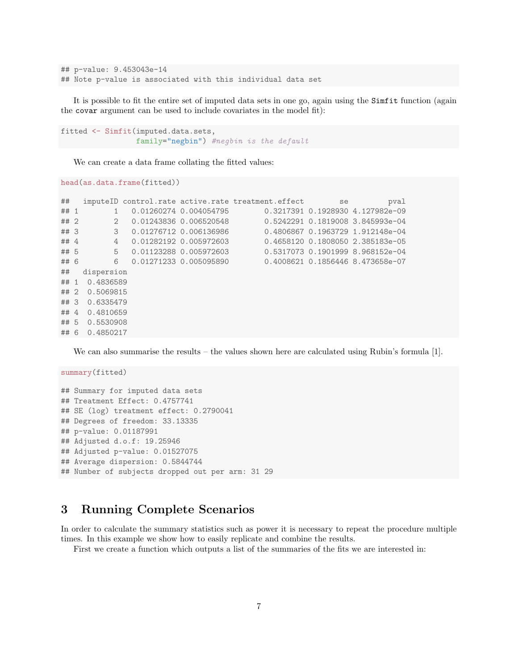```
## p-value: 9.453043e-14
## Note p-value is associated with this individual data set
```
It is possible to fit the entire set of imputed data sets in one go, again using the Simfit function (again the covar argument can be used to include covariates in the model fit):

```
fitted <- Simfit(imputed.data.sets,
                 family="negbin") #negbin is the default
```
We can create a data frame collating the fitted values:

head(as.data.frame(fitted))

```
## imputeID control.rate active.rate treatment.effect se se pval
## 1 1 0.01260274 0.004054795 0.3217391 0.1928930 4.127982e-09
## 2 2 0.01243836 0.006520548 0.5242291 0.1819008 3.845993e-04
## 3 3 0.01276712 0.006136986 0.4806867 0.1963729 1.912148e-04
## 4 4 0.01282192 0.005972603 0.4658120 0.1808050 2.385183e-05
## 5 5 0.01123288 0.005972603 0.5317073 0.1901999 8.968152e-04
## 6 6 0.01271233 0.005095890 0.4008621 0.1856446 8.473658e-07
## dispersion
## 1 0.4836589
## 2 0.5069815
## 3 0.6335479
## 4 0.4810659
## 5 0.5530908
## 6 0.4850217
```
We can also summarise the results – the values shown here are calculated using Rubin's formula [1].

summary(fitted) ## Summary for imputed data sets ## Treatment Effect: 0.4757741 ## SE (log) treatment effect: 0.2790041 ## Degrees of freedom: 33.13335 ## p-value: 0.01187991 ## Adjusted d.o.f: 19.25946 ## Adjusted p-value: 0.01527075 ## Average dispersion: 0.5844744 ## Number of subjects dropped out per arm: 31 29

### 3 Running Complete Scenarios

In order to calculate the summary statistics such as power it is necessary to repeat the procedure multiple times. In this example we show how to easily replicate and combine the results.

First we create a function which outputs a list of the summaries of the fits we are interested in: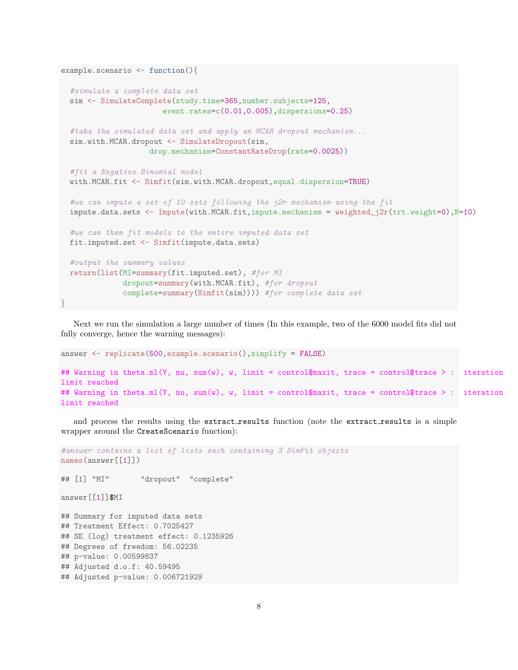```
example.scenario <- function(){
 #simulate a complete data set
 sim <- SimulateComplete(study.time=365,number.subjects=125,
                       event.rates=c(0.01,0.005),dispersions=0.25)
 #take the simulated data set and apply an MCAR dropout mechanism...
 sim.with.MCAR.dropout <- SimulateDropout(sim,
                    drop.mechanism=ConstantRateDrop(rate=0.0025))
 #fit a Negative Binomial model
 with.MCAR.fit <- Simfit(sim.with.MCAR.dropout,equal.dispersion=TRUE)
 #we can impute a set of 10 sets following the j2r mechanism using the fit
 impute.data.sets <- Impute(with.MCAR.fit,impute.mechanism = weighted_j2r(trt.weight=0),N=10)
 #we can then fit models to the entire imputed data set
 fit.imputed.set <- Simfit(impute.data.sets)
 #output the summary values
 return(list(MI=summary(fit.imputed.set), #for MI
             dropout=summary(with.MCAR.fit), #for dropout
              complete=summary(Simfit(sim)))) #for complete data set
}
```
Next we run the simulation a large number of times (In this example, two of the 6000 model fits did not fully converge, hence the warning messages):

```
answer <- replicate(500,example.scenario(),simplify = FALSE)
## Warning in theta.ml(Y, mu, sum(w), w, limit = control$maxit, trace = control$trace > : iteration
limit reached
## Warning in theta.ml(Y, mu, sum(w), w, limit = control$maxit, trace = control$trace > : iteration
limit reached
```
and process the results using the extract\_results function (note the extract\_results is a simple wrapper around the CreateScenario function):

```
#answer contains a list of lists each containing 3 SimFit objects
names(answer[[1]])
## [1] "MI" "dropout" "complete"
answer[[1]]$MI
## Summary for imputed data sets
## Treatment Effect: 0.7025427
## SE (log) treatment effect: 0.1235926
## Degrees of freedom: 56.02235
## p-value: 0.00599837
## Adjusted d.o.f: 40.59495
## Adjusted p-value: 0.006721929
```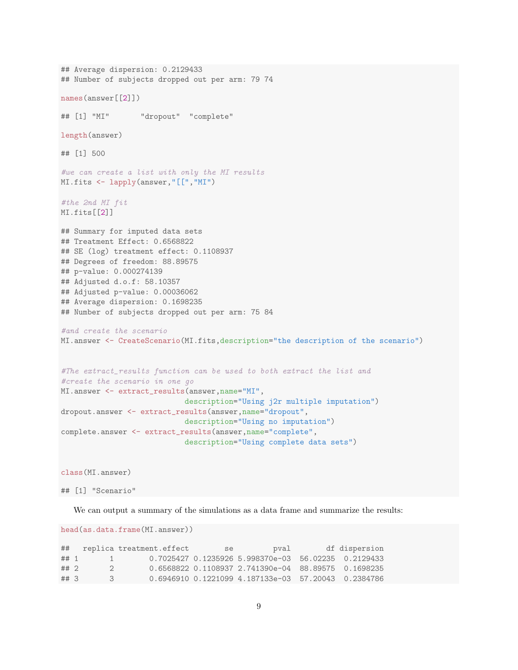```
## Average dispersion: 0.2129433
## Number of subjects dropped out per arm: 79 74
names(answer[[2]])
## [1] "MI" "dropout" "complete"
length(answer)
## [1] 500
#we can create a list with only the MI results
MI.fits <- lapply(answer,"[[","MI")
#the 2nd MI fit
MI.fits[[2]]
## Summary for imputed data sets
## Treatment Effect: 0.6568822
## SE (log) treatment effect: 0.1108937
## Degrees of freedom: 88.89575
## p-value: 0.000274139
## Adjusted d.o.f: 58.10357
## Adjusted p-value: 0.00036062
## Average dispersion: 0.1698235
## Number of subjects dropped out per arm: 75 84
#and create the scenario
MI.answer <- CreateScenario(MI.fits,description="the description of the scenario")
#The extract_results function can be used to both extract the list and
#create the scenario in one go
MI.answer <- extract_results(answer,name="MI",
                          description="Using j2r multiple imputation")
dropout.answer <- extract_results(answer,name="dropout",
                           description="Using no imputation")
complete.answer <- extract_results(answer,name="complete",
                            description="Using complete data sets")
class(MI.answer)
```
## [1] "Scenario"

We can output a summary of the simulations as a data frame and summarize the results:

head(as.data.frame(MI.answer))

| ##     |              | replica treatment.effect | se | pval                                                  | df dispersion |
|--------|--------------|--------------------------|----|-------------------------------------------------------|---------------|
| ##1    | $\mathbf{I}$ |                          |    | $0.7025427$ 0.1235926 5.998370e-03 56.02235 0.2129433 |               |
| ## 2   |              |                          |    | 0.6568822 0.1108937 2.741390e-04 88.89575 0.1698235   |               |
| $##$ 3 | 3            |                          |    | 0.6946910 0.1221099 4.187133e-03 57.20043 0.2384786   |               |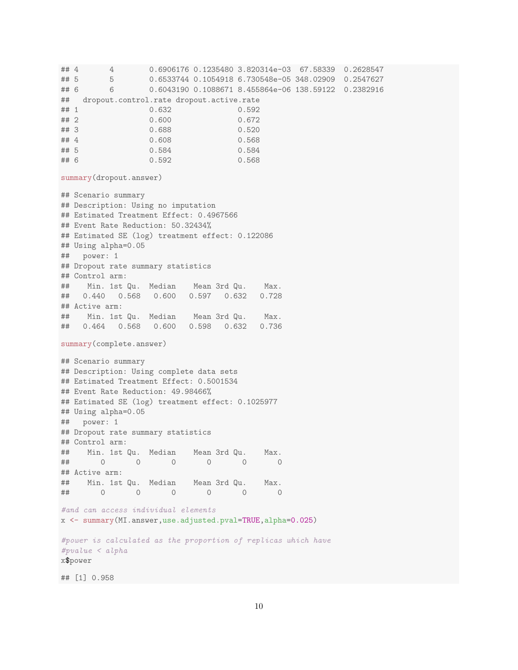## 4 4 0.6906176 0.1235480 3.820314e-03 67.58339 0.2628547 ## 5 5 0.6533744 0.1054918 6.730548e-05 348.02909 0.2547627 ## 6 6 0.6043190 0.1088671 8.455864e-06 138.59122 0.2382916 ## dropout.control.rate dropout.active.rate ## 1 0.632 0.592 ## 2 0.600 0.672 ## 3 0.688 0.520<br>
## 4 0.608 0.568 0.608 0.568 ## 5 0.584 0.584 ## 6 0.592 0.568 summary(dropout.answer) ## Scenario summary ## Description: Using no imputation ## Estimated Treatment Effect: 0.4967566 ## Event Rate Reduction: 50.32434% ## Estimated SE (log) treatment effect: 0.122086 ## Using alpha=0.05 ## power: 1 ## Dropout rate summary statistics ## Control arm: ## Min. 1st Qu. Median Mean 3rd Qu. Max. ## 0.440 0.568 0.600 0.597 0.632 0.728 ## Active arm: ## Min. 1st Qu. Median Mean 3rd Qu. Max. ## 0.464 0.568 0.600 0.598 0.632 0.736 summary(complete.answer) ## Scenario summary ## Description: Using complete data sets ## Estimated Treatment Effect: 0.5001534 ## Event Rate Reduction: 49.98466% ## Estimated SE (log) treatment effect: 0.1025977 ## Using alpha=0.05 ## power: 1 ## Dropout rate summary statistics ## Control arm: ## Min. 1st Qu. Median Mean 3rd Qu. Max. ## 0 0 0 0 0 0 ## Active arm: ## Min. 1st Qu. Median Mean 3rd Qu. Max. ## 0 0 0 0 0 0 #and can access individual elements x <- summary(MI.answer,use.adjusted.pval=TRUE,alpha=0.025) #power is calculated as the proportion of replicas which have #pvalue < alpha x\$power

## [1] 0.958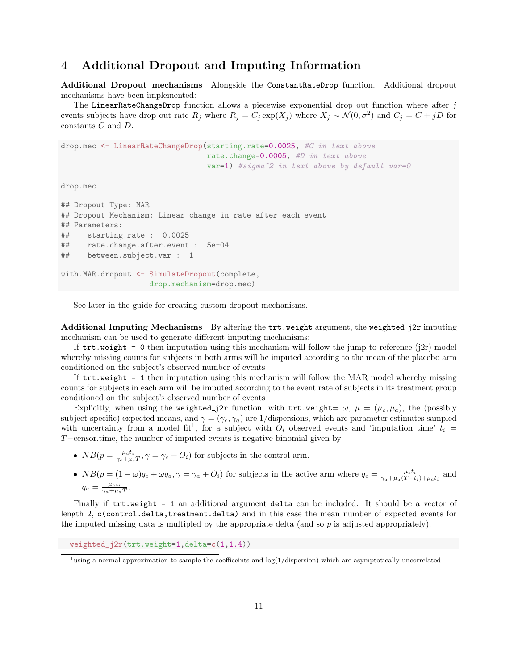### 4 Additional Dropout and Imputing Information

Additional Dropout mechanisms Alongside the ConstantRateDrop function. Additional dropout mechanisms have been implemented:

The LinearRateChangeDrop function allows a piecewise exponential drop out function where after  $j$ events subjects have drop out rate  $R_j$  where  $R_j = C_j \exp(X_j)$  where  $X_j \sim \mathcal{N}(0, \sigma^2)$  and  $C_j = C + jD$  for constants C and D.

drop.mec <- LinearRateChangeDrop(starting.rate=0.0025, #C in text above rate.change=0.0005, #D in text above var=1) #sigma^2 in text above by default var=0

drop.mec

```
## Dropout Type: MAR
## Dropout Mechanism: Linear change in rate after each event
## Parameters:
## starting.rate : 0.0025
## rate.change.after.event : 5e-04
## between.subject.var : 1
with.MAR.dropout <- SimulateDropout(complete,
                   drop.mechanism=drop.mec)
```
See later in the guide for creating custom dropout mechanisms.

Additional Imputing Mechanisms By altering the trt.weight argument, the weighted j2r imputing mechanism can be used to generate different imputing mechanisms:

If  $trt$ .weight = 0 then imputation using this mechanism will follow the jump to reference (j2r) model whereby missing counts for subjects in both arms will be imputed according to the mean of the placebo arm conditioned on the subject's observed number of events

If trt.weight = 1 then imputation using this mechanism will follow the MAR model whereby missing counts for subjects in each arm will be imputed according to the event rate of subjects in its treatment group conditioned on the subject's observed number of events

Explicitly, when using the weighted j2r function, with trt.weight=  $\omega$ ,  $\mu = (\mu_c, \mu_a)$ , the (possibly subject-specific) expected means, and  $\gamma = (\gamma_c, \gamma_a)$  are 1/dispersions, which are parameter estimates sampled with uncertainty from a model fit<sup>1</sup>, for a subject with  $O_i$  observed events and 'imputation time'  $t_i =$ T−censor.time, the number of imputed events is negative binomial given by

- $NB(p = \frac{\mu_c t_i}{\gamma_c + \mu_c T}, \gamma = \gamma_c + O_i)$  for subjects in the control arm.
- $NB(p = (1 \omega)q_c + \omega q_a, \gamma = \gamma_a + O_i)$  for subjects in the active arm where  $q_c = \frac{\mu_c t_i}{\gamma_a + \mu_a (T t_i) + \mu_c t_i}$  and  $q_a = \frac{\mu_a t_i}{\gamma_a + \mu_a T}.$

Finally if  $\text{tr.weight} = 1$  an additional argument delta can be included. It should be a vector of length 2, c(control.delta,treatment.delta) and in this case the mean number of expected events for the imputed missing data is multipled by the appropriate delta (and so  $p$  is adjusted appropriately):

weighted\_j2r(trt.weight=1,delta=c(1,1.4))

<sup>&</sup>lt;sup>1</sup>using a normal approximation to sample the coefficeints and  $log(1/dispersion)$  which are asymptotically uncorrelated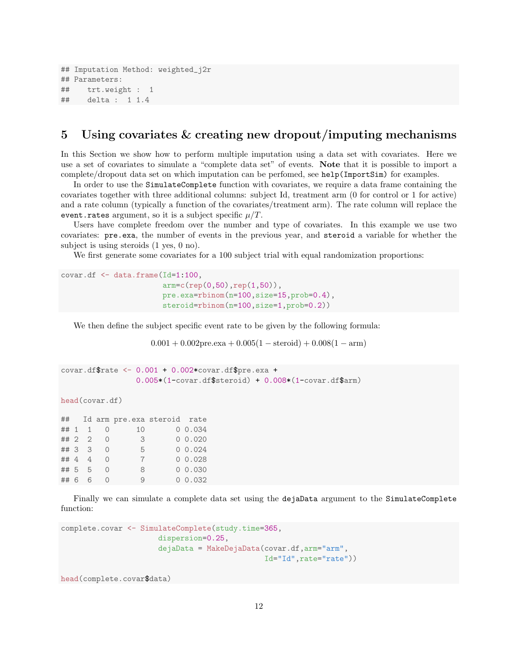```
## Imputation Method: weighted_j2r
## Parameters:
## trt.weight : 1
## delta : 1 1.4
```
### 5 Using covariates & creating new dropout/imputing mechanisms

In this Section we show how to perform multiple imputation using a data set with covariates. Here we use a set of covariates to simulate a "complete data set" of events. Note that it is possible to import a complete/dropout data set on which imputation can be perfomed, see help(ImportSim) for examples.

In order to use the SimulateComplete function with covariates, we require a data frame containing the covariates together with three additional columns: subject Id, treatment arm (0 for control or 1 for active) and a rate column (typically a function of the covariates/treatment arm). The rate column will replace the event.rates argument, so it is a subject specific  $\mu/T$ .

Users have complete freedom over the number and type of covariates. In this example we use two covariates: pre.exa, the number of events in the previous year, and steroid a variable for whether the subject is using steroids (1 yes, 0 no).

We first generate some covariates for a 100 subject trial with equal randomization proportions:

```
covar.df <- data.frame(Id=1:100,
                       arm=c(rep(0,50),rep(1,50)),
                       pre.exa=rbinom(n=100,size=15,prob=0.4),
                       steroid=rbinom(n=100,size=1,prob=0.2))
```
We then define the subject specific event rate to be given by the following formula:

 $0.001 + 0.002$ pre.exa +  $0.005(1 - \text{steroid}) + 0.008(1 - \text{arm})$ 

```
covar.df\frac{2}{3}rate \leq 0.001 + 0.002*covar.df\frac{2}{3}pre.exa +
                     0.005*(1-covar.df$steroid) + 0.008*(1-covar.df$arm)
```
head(covar.df)

|  |        |              | ## Id arm pre.exa steroid rate |         |
|--|--------|--------------|--------------------------------|---------|
|  |        | ## 1 1 0     | 10                             | 0 0.034 |
|  |        | $\#$ # 2 2 0 | $\overline{\mathbf{3}}$        | 0 0.020 |
|  | ## 3 3 | $\bigcirc$   | - 5                            | 0.024   |
|  | ## 4 4 | $\bigcirc$   | $7\phantom{.0}$                | 0 0.028 |
|  | ## 5 5 | $\bigcirc$   | 8                              | 0 0.030 |
|  | ## 6 6 | $\bigcirc$   | $\Omega$                       | 0 0.032 |

Finally we can simulate a complete data set using the dejaData argument to the SimulateComplete function:

```
complete.covar <- SimulateComplete(study.time=365,
                      dispersion=0.25,
                      dejaData = MakeDejaData(covar.df,arm="arm",
                                              Id="Id",rate="rate"))
```
head(complete.covar\$data)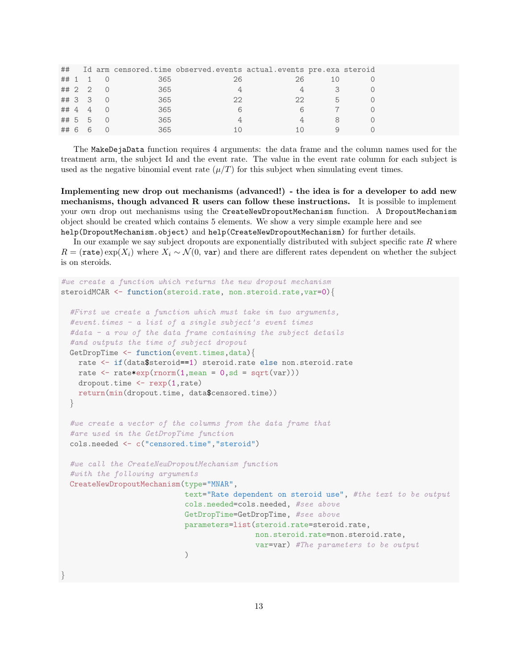|  |        |                       |     | ## Id arm censored.time observed.events actual.events pre.exa steroid |                |    |  |
|--|--------|-----------------------|-----|-----------------------------------------------------------------------|----------------|----|--|
|  |        | $\#$ $\#$ $\ 1$ $\ 0$ | 365 | 26                                                                    | 26             |    |  |
|  |        | $\#$ # 2 2 0          | 365 | 4                                                                     | $\overline{4}$ | -3 |  |
|  |        | ## 3 3 0              | 365 | 22                                                                    | 22             | 5  |  |
|  |        | # 4 4 0               | 365 | 6                                                                     | 6              |    |  |
|  |        | $\#$ # 5 5 0          | 365 |                                                                       |                |    |  |
|  | ## 6 6 |                       | 365 | 1 ( )                                                                 |                |    |  |

The MakeDejaData function requires 4 arguments: the data frame and the column names used for the treatment arm, the subject Id and the event rate. The value in the event rate column for each subject is used as the negative binomial event rate  $(\mu/T)$  for this subject when simulating event times.

Implementing new drop out mechanisms (advanced!) - the idea is for a developer to add new mechanisms, though advanced R users can follow these instructions. It is possible to implement your own drop out mechanisms using the CreateNewDropoutMechanism function. A DropoutMechanism object should be created which contains 5 elements. We show a very simple example here and see help(DropoutMechanism.object) and help(CreateNewDropoutMechanism) for further details.

In our example we say subject dropouts are exponentially distributed with subject specific rate  $R$  where  $R = (\text{rate}) \exp(X_i)$  where  $X_i \sim \mathcal{N}(0, \text{var})$  and there are different rates dependent on whether the subject is on steroids.

```
#we create a function which returns the new dropout mechanism
steroidMCAR <- function(steroid.rate, non.steroid.rate, var=0){
  #First we create a function which must take in two arguments,
  #event.times - a list of a single subject's event times
  #data - a row of the data frame containing the subject details
  #and outputs the time of subject dropout
  GetDropTime <- function(event.times,data){
   rate <- if(data$steroid==1) steroid.rate else non.steroid.rate
   rate \leq rate*exp(rnorm(1, mean = 0, sd = sqrt(var)))
   dropout.time <- rexp(1,rate)
   return(min(dropout.time, data$censored.time))
  }
  #we create a vector of the columns from the data frame that
  #are used in the GetDropTime function
  cols.needed <- c("censored.time","steroid")
  #we call the CreateNewDropoutMechanism function
  #with the following arguments
  CreateNewDropoutMechanism(type="MNAR",
                            text="Rate dependent on steroid use", #the text to be output
                            cols.needed=cols.needed, #see above
                            GetDropTime=GetDropTime, #see above
                            parameters=list(steroid.rate=steroid.rate,
                                            non.steroid.rate=non.steroid.rate,
                                            var=var) #The parameters to be output
                            )
```
}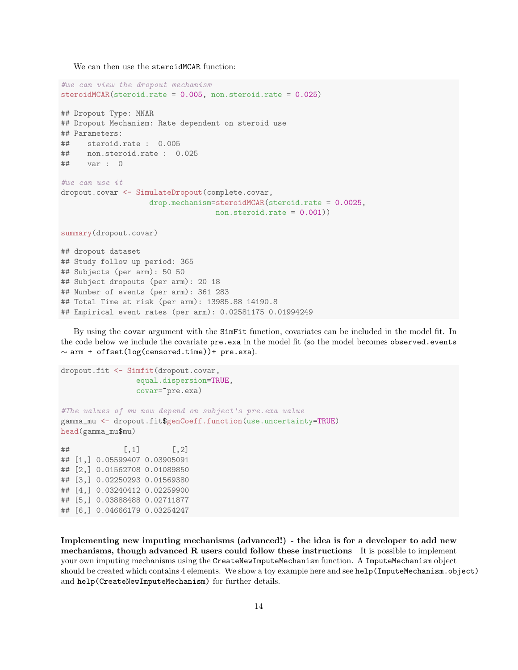We can then use the steroidMCAR function:

```
#we can view the dropout mechanism
steroidMCAR(steroid.rate = 0.005, non.steroid.rate = 0.025)
## Dropout Type: MNAR
## Dropout Mechanism: Rate dependent on steroid use
## Parameters:
## steroid.rate : 0.005
## non.steroid.rate : 0.025
## var : 0
#we can use it
dropout.covar <- SimulateDropout(complete.covar,
                   drop.mechanism=steroidMCAR(steroid.rate = 0.0025,
                                  non.steroid.rate = 0.001)
summary(dropout.covar)
## dropout dataset
## Study follow up period: 365
## Subjects (per arm): 50 50
## Subject dropouts (per arm): 20 18
## Number of events (per arm): 361 283
## Total Time at risk (per arm): 13985.88 14190.8
```
## Empirical event rates (per arm): 0.02581175 0.01994249

By using the covar argument with the SimFit function, covariates can be included in the model fit. In the code below we include the covariate pre.exa in the model fit (so the model becomes observed.events  $\sim$  arm + offset(log(censored.time))+ pre.exa).

```
dropout.fit <- Simfit(dropout.covar,
                equal.dispersion=TRUE,
                covar=~pre.exa)
#The values of mu now depend on subject's pre.exa value
gamma_mu <- dropout.fit$genCoeff.function(use.uncertainty=TRUE)
head(gamma_mu$mu)
\sharp # [, 1 [, 2 ]## [1,] 0.05599407 0.03905091
## [2,] 0.01562708 0.01089850
## [3,] 0.02250293 0.01569380
## [4,] 0.03240412 0.02259900
## [5,] 0.03888488 0.02711877
## [6,] 0.04666179 0.03254247
```
Implementing new imputing mechanisms (advanced!) - the idea is for a developer to add new mechanisms, though advanced R users could follow these instructions It is possible to implement your own imputing mechanisms using the CreateNewImputeMechanism function. A ImputeMechanism object should be created which contains 4 elements. We show a toy example here and see help(ImputeMechanism.object) and help(CreateNewImputeMechanism) for further details.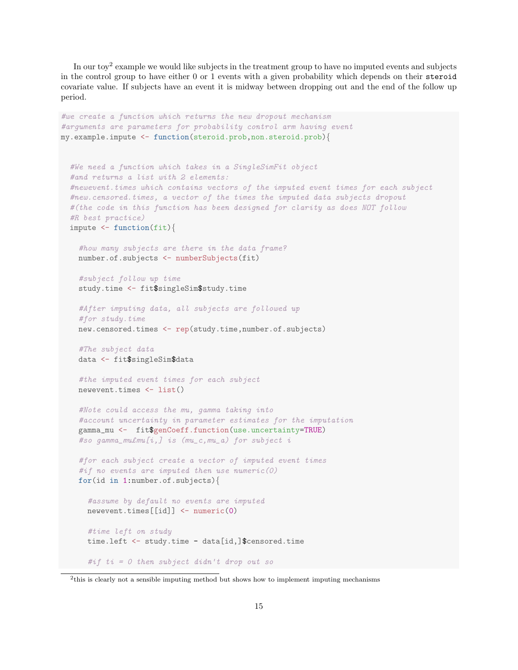In our toy<sup>2</sup> example we would like subjects in the treatment group to have no imputed events and subjects in the control group to have either 0 or 1 events with a given probability which depends on their steroid covariate value. If subjects have an event it is midway between dropping out and the end of the follow up period.

```
#we create a function which returns the new dropout mechanism
#arguments are parameters for probability control arm having event
my.example.impute <- function(steroid.prob,non.steroid.prob){
  #We need a function which takes in a SingleSimFit object
  #and returns a list with 2 elements:
  #newevent.times which contains vectors of the imputed event times for each subject
  #new.censored.times, a vector of the times the imputed data subjects dropout
  #(the code in this function has been designed for clarity as does NOT follow
  #R best practice)
  impute \leq function(fit){
    #how many subjects are there in the data frame?
   number.of.subjects <- numberSubjects(fit)
   #subject follow up time
   study.time <- fit$singleSim$study.time
   #After imputing data, all subjects are followed up
   #for study.time
   new.censored.times <- rep(study.time,number.of.subjects)
   #The subject data
   data <- fit$singleSim$data
   #the imputed event times for each subject
   newevent.times <- list()
   #Note could access the mu, gamma taking into
    #account uncertainty in parameter estimates for the imputation
   gamma_mu <- fit$genCoeff.function(use.uncertainty=TRUE)
   #so gamma_mu£mu[i,] is (mu_c,mu_a) for subject i
   #for each subject create a vector of imputed event times
   #if no events are imputed then use numeric(0)
   for(id in 1:number.of.subjects){
      #assume by default no events are imputed
     newevent.times[[id]] <- numeric(0)
      #time left on study
     time.left <- study.time - data[id,]$censored.time
      #if ti = 0 then subject didn't drop out so
```
<sup>&</sup>lt;sup>2</sup>this is clearly not a sensible imputing method but shows how to implement imputing mechanisms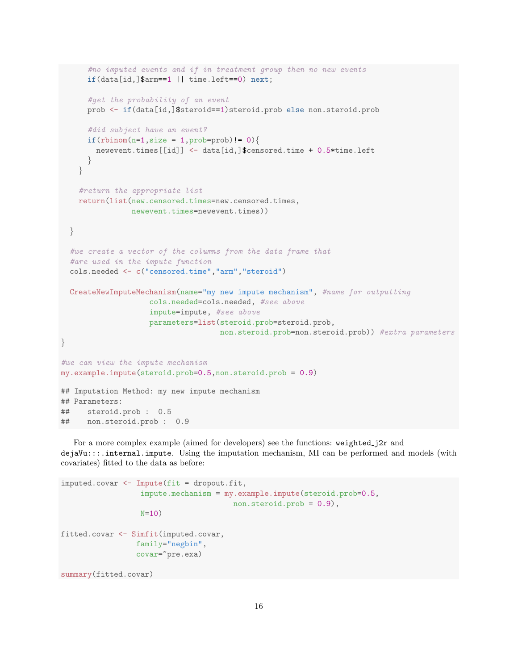```
#no imputed events and if in treatment group then no new events
      if(data[id,]$arm==1 || time.left==0) next;
      #get the probability of an event
     prob <- if(data[id,]$steroid==1)steroid.prob else non.steroid.prob
      #did subject have an event?
     if(rbinom(n=1,size = 1,prob=prob)!= 0}{
       newevent.times[[id]] <- data[id,]$censored.time + 0.5*time.left
      }
    }
   #return the appropriate list
   return(list(new.censored.times=new.censored.times,
               newevent.times=newevent.times))
  }
  #we create a vector of the columns from the data frame that
  #are used in the impute function
  cols.needed <- c("censored.time","arm","steroid")
  CreateNewImputeMechanism(name="my new impute mechanism", #name for outputting
                    cols.needed=cols.needed, #see above
                    impute=impute, #see above
                    parameters=list(steroid.prob=steroid.prob,
                                   non.steroid.prob=non.steroid.prob)) #extra parameters
}
#we can view the impute mechanism
my.example.impute(steroid.prob=0.5,non.steroid.prob = 0.9)
## Imputation Method: my new impute mechanism
## Parameters:
## steroid.prob : 0.5
## non.steroid.prob : 0.9
```
For a more complex example (aimed for developers) see the functions: weighted\_j2r and dejaVu:::.internal.impute. Using the imputation mechanism, MI can be performed and models (with covariates) fitted to the data as before:

```
imputed.covar <- Impute(fit = dropout.fit,
                  impute.mechanism = my.example.impute(steroid.prob=0.5,
                                       non.steroid.prob = 0.9),
                  N=10)
fitted.covar <- Simfit(imputed.covar,
                 family="negbin",
                 covar=~pre.exa)
summary(fitted.covar)
```